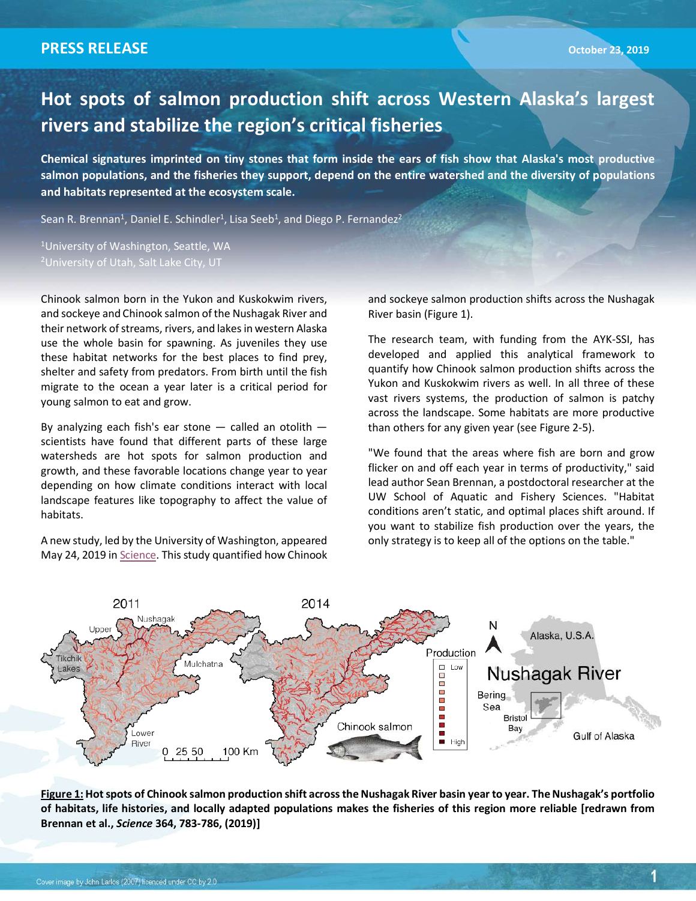1

## **Hot spots of salmon production shift across Western Alaska's largest rivers and stabilize the region's critical fisheries**

**Chemical signatures imprinted on tiny stones that form inside the ears of fish show that Alaska's most productive salmon populations, and the fisheries they support, depend on the entire watershed and the diversity of populations and habitats represented at the ecosystem scale.**

Sean R. Brennan<sup>1</sup>, Daniel E. Schindler<sup>1</sup>, Lisa Seeb<sup>1</sup>, and Diego P. Fernandez<sup>2</sup>

1 University of Washington, Seattle, WA

Chinook salmon born in the Yukon and Kuskokwim rivers, and sockeye and Chinook salmon of the Nushagak River and their network of streams, rivers, and lakes in western Alaska use the whole basin for spawning. As juveniles they use these habitat networks for the best places to find prey, shelter and safety from predators. From birth until the fish migrate to the ocean a year later is a critical period for young salmon to eat and grow.

By analyzing each fish's ear stone  $-$  called an otolith  $$ scientists have found that different parts of these large watersheds are hot spots for salmon production and growth, and these favorable locations change year to year depending on how climate conditions interact with local landscape features like topography to affect the value of habitats.

A new study, led by the University of Washington, appeared May 24, 2019 in Science. This study quantified how Chinook and sockeye salmon production shifts across the Nushagak River basin (Figure 1).

The research team, with funding from the AYK-SSI, has developed and applied this analytical framework to quantify how Chinook salmon production shifts across the Yukon and Kuskokwim rivers as well. In all three of these vast rivers systems, the production of salmon is patchy across the landscape. Some habitats are more productive than others for any given year (see Figure 2-5).

"We found that the areas where fish are born and grow flicker on and off each year in terms of productivity," said lead author Sean Brennan, a postdoctoral researcher at the UW School of Aquatic and Fishery Sciences. "Habitat conditions aren't static, and optimal places shift around. If you want to stabilize fish production over the years, the only strategy is to keep all of the options on the table."



Figure 1: Hot spots of Chinook salmon production shift across the Nushagak River basin year to year. The Nushagak's portfolio **of habitats, life histories, and locally adapted populations makes the fisheries of this region more reliable [redrawn from Brennan et al.,** *Science* **364, 783-786, (2019)]**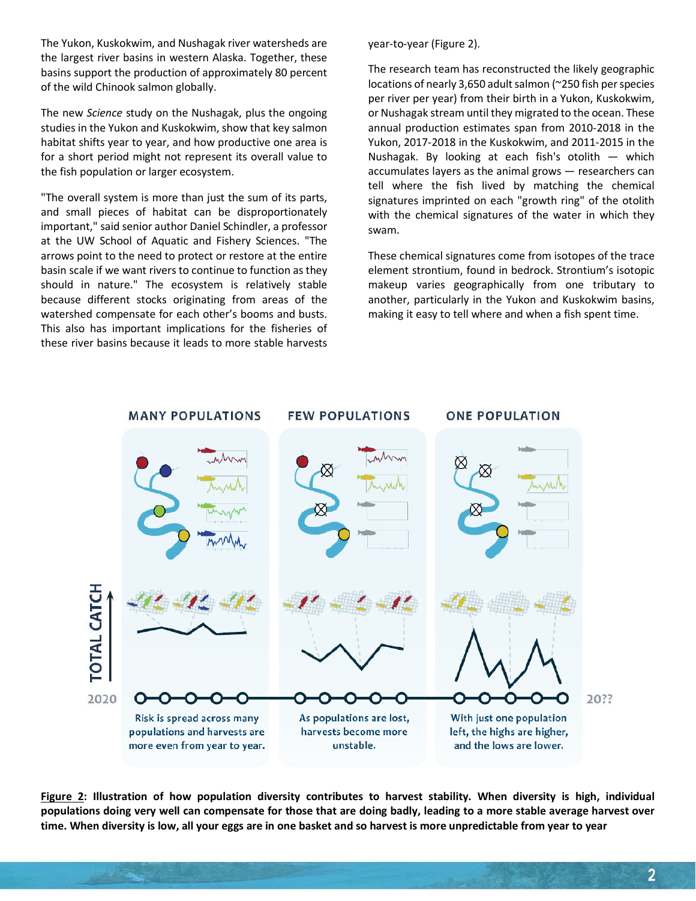The Yukon, Kuskokwim, and Nushagak river watersheds are the largest river basins in western Alaska. Together, these basins support the production of approximately 80 percent of the wild Chinook salmon globally.

The new *Science* study on the Nushagak, plus the ongoing studies in the Yukon and Kuskokwim, show that key salmon habitat shifts year to year, and how productive one area is for a short period might not represent its overall value to the fish population or larger ecosystem.

"The overall system is more than just the sum of its parts, and small pieces of habitat can be disproportionately important," said senior author Daniel Schindler, a professor at the UW School of Aquatic and Fishery Sciences. "The arrows point to the need to protect or restore at the entire basin scale if we want rivers to continue to function as they should in nature." The ecosystem is relatively stable because different stocks originating from areas of the watershed compensate for each other's booms and busts. This also has important implications for the fisheries of these river basins because it leads to more stable harvests

year-to-year (Figure 2).

The research team has reconstructed the likely geographic locations of nearly 3,650 adult salmon (~250 fish per species per river per year) from their birth in a Yukon, Kuskokwim, or Nushagak stream until they migrated to the ocean. These annual production estimates span from 2010-2018 in the Yukon, 2017-2018 in the Kuskokwim, and 2011-2015 in the Nushagak. By looking at each fish's otolith — which accumulates layers as the animal grows — researchers can tell where the fish lived by matching the chemical signatures imprinted on each "growth ring" of the otolith with the chemical signatures of the water in which they swam.

These chemical signatures come from isotopes of the trace element strontium, found in bedrock. Strontium's isotopic makeup varies geographically from one tributary to another, particularly in the Yukon and Kuskokwim basins, making it easy to tell where and when a fish spent time.



**Figure 2: Illustration of how population diversity contributes to harvest stability. When diversity is high, individual populations doing very well can compensate for those that are doing badly, leading to a more stable average harvest over time. When diversity is low, all your eggs are in one basket and so harvest is more unpredictable from year to year**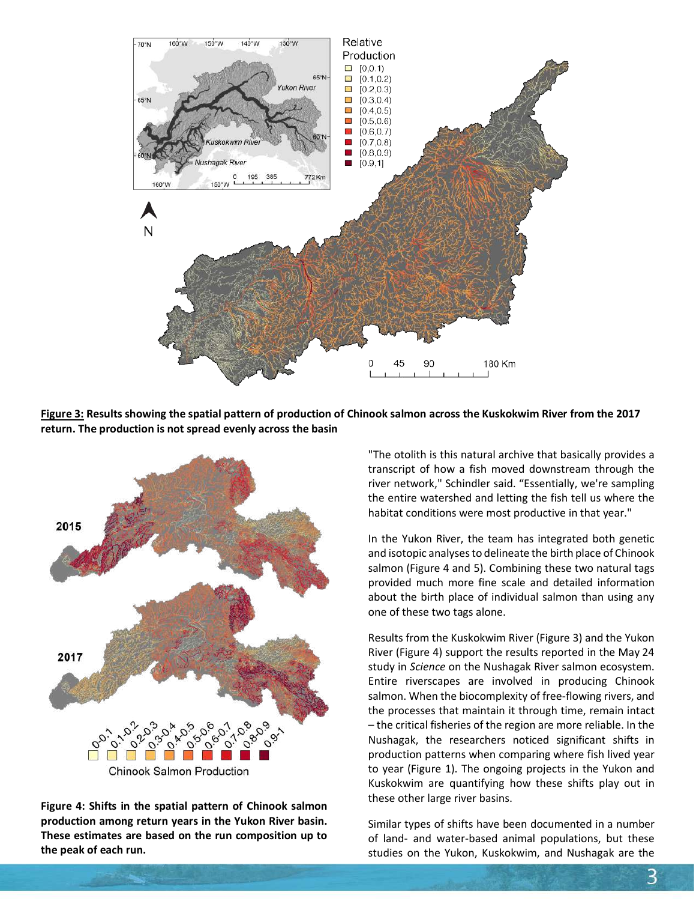

**Figure 3: Results showing the spatial pattern of production of Chinook salmon across the Kuskokwim River from the 2017 return. The production is not spread evenly across the basin**



**Figure 4: Shifts in the spatial pattern of Chinook salmon production among return years in the Yukon River basin. These estimates are based on the run composition up to the peak of each run.**

"The otolith is this natural archive that basically provides a transcript of how a fish moved downstream through the river network," Schindler said. "Essentially, we're sampling the entire watershed and letting the fish tell us where the habitat conditions were most productive in that year."

In the Yukon River, the team has integrated both genetic and isotopic analyses to delineate the birth place of Chinook salmon (Figure 4 and 5). Combining these two natural tags provided much more fine scale and detailed information about the birth place of individual salmon than using any one of these two tags alone.

Results from the Kuskokwim River (Figure 3) and the Yukon River (Figure 4) support the results reported in the May 24 study in *Science* on the Nushagak River salmon ecosystem. Entire riverscapes are involved in producing Chinook salmon. When the biocomplexity of free-flowing rivers, and the processes that maintain it through time, remain intact – the critical fisheries of the region are more reliable. In the Nushagak, the researchers noticed significant shifts in production patterns when comparing where fish lived year to year (Figure 1). The ongoing projects in the Yukon and Kuskokwim are quantifying how these shifts play out in these other large river basins.

Similar types of shifts have been documented in a number of land- and water-based animal populations, but these studies on the Yukon, Kuskokwim, and Nushagak are the